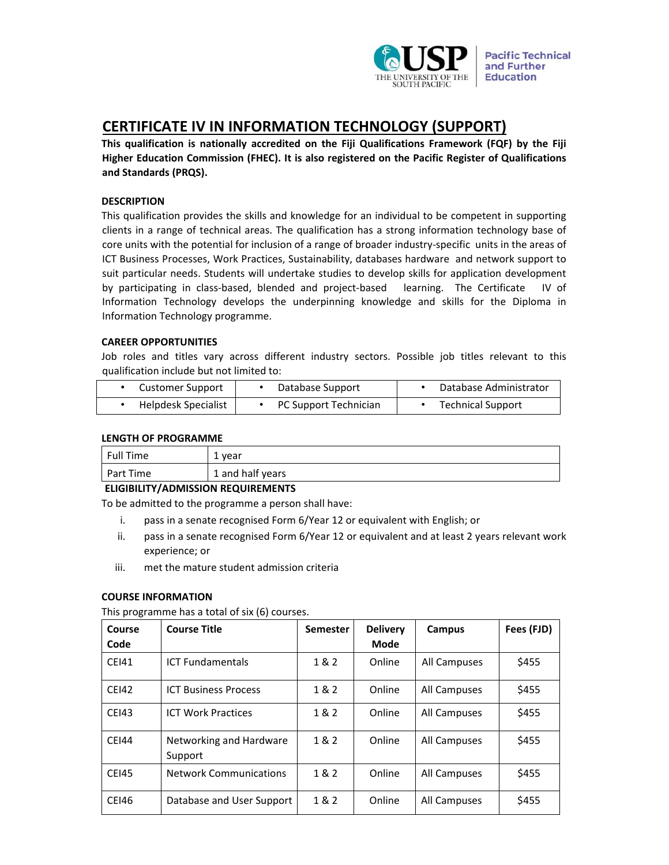

# **CERTIFICATE IV IN INFORMATION TECHNOLOGY (SUPPORT)**

**This qualification is nationally accredited on the Fiji Qualifications Framework (FQF) by the Fiji Higher Education Commission (FHEC). It is also registered on the Pacific Register of Qualifications and Standards (PRQS).** 

## **DESCRIPTION**

This qualification provides the skills and knowledge for an individual to be competent in supporting clients in a range of technical areas. The qualification has a strong information technology base of core units with the potential for inclusion of a range of broader industry‐specific units in the areas of ICT Business Processes, Work Practices, Sustainability, databases hardware and network support to suit particular needs. Students will undertake studies to develop skills for application development by participating in class-based, blended and project-based learning. The Certificate IV of Information Technology develops the underpinning knowledge and skills for the Diploma in Information Technology programme.

## **CAREER OPPORTUNITIES**

Job roles and titles vary across different industry sectors. Possible job titles relevant to this qualification include but not limited to:

| Customer Support    | Database Support      | Database Administrator   |
|---------------------|-----------------------|--------------------------|
| Helpdesk Specialist | PC Support Technician | <b>Technical Support</b> |

#### **LENGTH OF PROGRAMME**

| Full Time | 1 year           |
|-----------|------------------|
| Part Time | 1 and half years |

# **ELIGIBILITY/ADMISSION REQUIREMENTS**

To be admitted to the programme a person shall have:

- i. pass in a senate recognised Form 6/Year 12 or equivalent with English; or
- ii. pass in a senate recognised Form 6/Year 12 or equivalent and at least 2 years relevant work experience; or
- iii. met the mature student admission criteria

#### **COURSE INFORMATION**

This programme has a total of six (6) courses.

| Course       | <b>Course Title</b>                | <b>Semester</b> | <b>Delivery</b> | <b>Campus</b> | Fees (FJD) |
|--------------|------------------------------------|-----------------|-----------------|---------------|------------|
| Code         |                                    |                 | Mode            |               |            |
| <b>CEI41</b> | <b>ICT Fundamentals</b>            | 1 & 2           | Online          | All Campuses  | \$455      |
| <b>CEI42</b> | <b>ICT Business Process</b>        | 1 & 2           | Online          | All Campuses  | \$455      |
| <b>CEI43</b> | <b>ICT Work Practices</b>          | 1 & 2           | Online          | All Campuses  | \$455      |
| <b>CEI44</b> | Networking and Hardware<br>Support | 1 & 2           | Online          | All Campuses  | \$455      |
| <b>CEI45</b> | <b>Network Communications</b>      | 1 & 2           | Online          | All Campuses  | \$455      |
| <b>CEI46</b> | Database and User Support          | 1 & 2           | Online          | All Campuses  | \$455      |